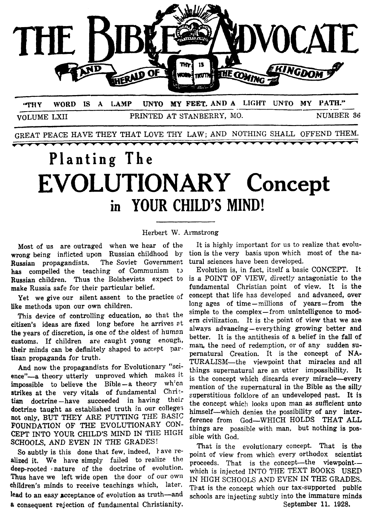

VOLUME LXII PRINTED AT STANBERRY, MO. NUMBER **36** 

GREAT PEACE HAVE THEY THAT LOVE THY LAW; AND NOTHING SHALL OFFEND THEM.

# **Planting The EVOLUTIONARY Concept in YOUR CHILD'S MIND!**

Herbert W. Aimstrong

Most of us are outraged when we hear of the wrong being inflicted upon Russian childhood by Russian propagandists. The Soviet Government has compelled the teaching of Communism to Russian children. Thus the Bolshevists expect to make Russia safe for their particular belief.

Yet we give our silent assent to the practice of like methods upon our own children.

This device of controlling education, *so* that the citizen's ideas are fixed long before he arrives at the years of discretion, is one of the oldest of human customs. If children are caught young enough, their minds can be definitely shaped to accept partisan propaganda for truth.

And now the propagandists for Evolutionary "science"-a theory utterly unproved which makes it impossible to believe the Bible-a theory wh'cn strikes at the very vitals of fundamental Chri: **tian** doctrine -have succeeded in having their doctrine taught as established truth in our college; not only, BUT THEY ARE PUTTING THE BASIC FOUNDATION OF **THE** EVOLUTIONARY CON-**CEPT** INTO YOUR **CHILD'S** MIND IN THE HIGH **SCHOOLS,** AND EVEN IN THE GRADES!

So subtly is this done that few, indeed, lave realized it. We have simply failed to realize the deep-rooted *I* nature of the doctrine of evolution. Thus have we left wide open the door of our own children's minds to receive teachings which, later. lead to an easy acceptance of evolution as truth-and **a** consequent rejection **of** fundamental Christianity.

It is highly important for us to realize that evolution is the very basis upon which most of the natural sciences have been developed.

Evolution is, in fact, itself a basic CONCEPT. It is *a* POINT OF VIEW, directly antagonistic to the fundamental Christian point of view. It is the concept that life has developed and advanced, **aver**  long ages of time-millions of years-from the simple to the complex-from unintelligence to **modern** civilization. It is the point of view that we **are**  alwavs advancing -every thing growing better **and**  better. It is the antithesis of a belief in the fa11 of man, the need of redemption, or of any sudden supernatural Creation. It is the concept of **NA-**TURALISM-the viewpoint that miracles and **all**  things supernatural are an utter impossibility. It is the concept which discards every miracle-every mention of the supernatural in the Bible **as** the silly superstitious folklore of an undeveloped past. It is the concept which **looks** upon *man as* sufficient unto himself—which denies the possibility of any interference from God-WHICH HOLDS THAT ALL things are possible with man, but nothing is **pos**sible with God.

That is the evolutionary concept. That is the point **of** view from which every orthodox scientist proceeds. That is the concept-the viewpointwhich is injected INTO THE TEXT BOOKS USED IN HIGH SCHOOLS AND EVEN IN THE GRADES. That is the concept which our tax-supported public schools are injecting subtly into the immature minds September 11. 1928.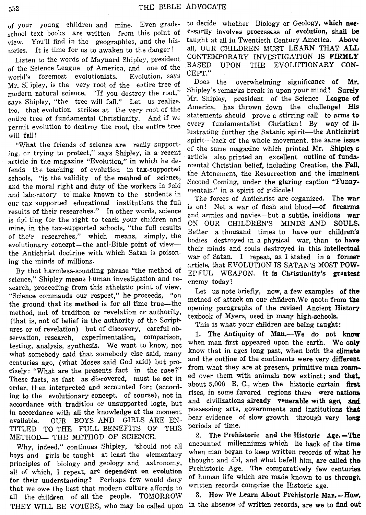view. You'll find in the geographies, and the his- taught at all in Twentieth Century America. **Above** 

of the Science League of America, and one of the  $\text{BASED}$ <br> $\text{CEPT."}$ world's foremost evolutionists. Evolution, says  $CFT$ .<br>My Simbor is the worn post of the entire tree of Does the overwhelming significance of Mr. S ipley, is the very root of the entire tree of Does the overwhelming significance of Mr. modern natural science. "If you destroy the root," Suppley's remarks break in upon your mind? Surely says Shipley, "the tree will fall." Let us realize. <sup>Mr.</sup> Shipley, president of the Science League of the Science League of the Science League of the Science League of the Science League of the Science America, has thrown too, that evolution strikes at the very root of the America, has thrown down the change:  $\pi$ is chire tree of fundamental Christianity. And if we statements should prove a stirring call to arms **to**  $\frac{1}{\sqrt{1-\frac{1}{n}}}$  way of ilrermit evolution to destroy the root, the entire tree

"What the friends of science are really support-<br>
ing, or trying to protect," says Shipley, in a recent<br>
article in the magazine "Evolution," in which he de-<br>
article also printed an excellent outline of funda-<br>
fends the *CUT* tax supported educational institutions the full is on! Not a war of flesh and blood—of firearms results of their researches." In other words, science and armies and navies-but a subtle, insidious war is fight the rig is fig. ting for the right to teach your children and<br>mine, in the tax-supported schools, "the full results Better a thousand times to have our children's of their researches," which means, simply, the better a thousand times to have our children's<br>evolutionary concept—the anti-Bible point of view—<br>the Antichrist doctrine with which Satan is poison-<br>ing the minds of millions

By that harmless-sounding phrase "the method of science," Shipley means human investigation and re- enemy today! search, proceeding from this atheistic point of view. "Science commands our respect," he proceeds, "on the ground that its method is for all time true—the method, not of tradition or revelation or authority, (that is, not of belief in the authority of the Scriptures or of revelation) but of discovery, careful observation, research, experimentation, comparison, 1. The Antiquity of Man.—We do not know servation, research, experimentation, comparison, when man first appeared upon the earth. We only testing, analysis, synthesis. We want to **know,** not when man first appeared upon the earth. We **only**  what somebody said that somebody else said, many  $\frac{m w}{m}$  and the outline of the continents were very different centuries ago, (what Moses said God said) but prc-<br>centuries ago, (what Moses said God said) but prc-<br>from what they are at present, primitive man roamed over them with animals now extinct; and that, These facts, as fast as discovered, must be set in ed over them with animals now extinct; and that, order, then interpreted and accounted for; (accord- about 5,000 B. C., when the historic curtain first in the historic curtain first  $\frac{1}{2}$  rises, in some favored regions there were nations ing to the evolutionary concept, of course), not in rises, in some favored regions there were nations in accordance with all the knowledge at the moment possessing arts, governments and institutions that available. **OUR** BOYS AND GIRLS ARE EN- bear evidence **of** Slow growth through very **long**  TITLED TO THE FULL BENEFITS OF THIS <sup>periods of time.</sup><br>METHOD THE METHOD OF SCIENCE 2. The Prehistoric and the Historic Age.—The METHOD- THE METHOD OF SCIENCE. cisely: "What are the presents fact in the case?" accordance with tradition or unsupported logic, but

principles of biology and geology and astronomy, thought and did, and what befell him, are called the principles of biology and geology and astronomy, thought and did, and what befell him, are called the all of which, I repeat, are dependent on evolution Fremstoric Age. The comparatively few centuries<br>A dividend the linear Perkens for would day, of human life which are made known to us through for their understanding? Perhaps few would deny of human life which are made known to use that meet that modern guiting offends to written records comprise the Historic age. that we owe the best that modern culture affords to written records comprise the Historic age.<br> $\frac{11}{10}$  the children of all the neople TOMORROW 3. How We Learn About Prehistoric Man. -How. all the children of all the people. TOMORROW 3. How we **Learn About Prehistoric Man.--How,** THEV WILL BE VOTERS, who may be called upon in the absence of written records, are we to find out THEY WILL BE VOTERS, who may be called upon Why, indeed." continues Shipley,

of your young children and mine. Even grade- to decide whether Biology or Geology, which **nee**school text books are written from this point of essarily involves processess of evolution, shall be tories. It is time for us to awaken to the danger! all, OUR CHILDREN MUST LEARN THAT ALL Listen to the words of Maynard Shipley, president CONTEMPORARY INVESTIGATION IS FIRMLY

will fall!<br>will fall! lustrating further the Satanic spirit-the Antichrist<br>will fall! spirit-back of the whole movement, the same issue Shipley's remarks break in upon your mind? Surely

> article, that EVOLUTION IS SATAN'S MOST POW-ERFUL WEAPON. It is Christianity's greatest

> Let us note briefly, now, a few examples of **the**  method of attack on our children. We quote from the opening paragraphs of the revised Ancient History texbook of Myers, used in many high-schools.

This is what your children are being taught:

'should not all uncounted millenniums which lie back of the time boys and girls be taught at least the elementary when man began to keep written records of what he boys and girls be taught at least the elementary thought and did and what hafell him are solled the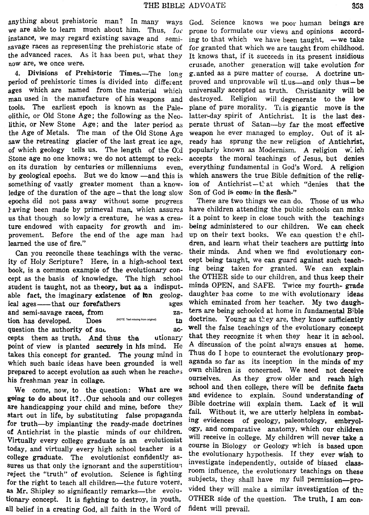anything about prehistoric man? In many ways God. Science knows we poor human beings are we are able to learn much about him. Thus, for prone to formulate our views and opinions accordinstance, we may regard existing savage and semi- ing to that which we have been taught, —we take savage races as representing the prehistoric state of for granted that which we are taught from childhood. the advanced races. As it has been put, what they It knows that, if it succeeds in its present insidious now are, we once were.

period of prehistoric times is divided into different proved and unprovable wil tl,us—and only thus—be<br>ages which are named from the material which universally accepted as truth. Christianity will be man used in the manufacture of his weapons and destroyed. Religion will degenerate to the **low**  tools. The earliest epoch is known as the Pale- plane of pure morality. This gigantic move is the olithic, or Old Stone Age; the following as the Neo- latter-day spirit of Antichrist. It is the last des. lithic, or New Stone Age; and the later period as perate thrust of Satan---by far the most effective the Age of Metals. The man of the Old Stone Age weapon he ever managed to employ. Out of it alsaw the retreating glacier of the last great ice age, ready has sprung the new religion of Antichrist, **of** which geology tells us. The length of the 0:d popularly known **as** Modernism. A religion w: ich Stone age no one knows; we do not attempt to reck- accepts the moral teachings of Jesus, but denies on its duration **by** centuries or millenniums even, everything fundamental in God's Word. A religion by geological epochs. But we do know -and this is which answers the true Bible definition of the religsomething of vastly greater moment than a know- ion of Antichrist-that which "denies that the ledge of the duration of the age -that the long slow Son of God is come in the flesh." epochs did not pass away without some progress There are two things we can do. Those of us **whc,**  kaving been made by primeval man, which assures have children attending the public schools can make us that though so lowly a creature, he was **a** crea- it a point to keep in close touch with the teaching3 ture endowed with capacity for growth and im- being administered to our children. We can check provement. Before the end of the age man had up on their text books. We can question  $t$  e chillearned the use of fire." extended the use of fire." dren, and learn what their teachers are putting into

ity of Holy Scripture? Here, in a high-school text cept being taught, we can guard against such teach-<br>hook is a common example of the evolutionary con- ing being taken for granted. We can explain book, is a common example of the evolutionary concept as the basis of knowledge, **me** high school the OTHER side to our childyen, and thus keep their student is taught, not as theory, but as a indisput- minds OPEN, and SAFE. Twice my fourth- grade able fact, the imaginary existence of **ten** geolog- daughter has come to me with evolutionary ideas ical ages-that our forefathers ages which eminated from her teacher. My two daughand semi-savage races, from <br>tion has developed. Does **NOTE: Ted missing from original** the doctrine. Young as they are, they know sufficiently question the authority of such the such ac- well the false teachings of the evolutionary concept

point of view is planted securely in his mind. He A discussion of the point always ensues at home. takes this concept for granted. The young mind in Thus do I hope to counteract the evolutionary propwhich such basic ideas have been grounded is well aganda so far as its inception in the minds of my prepared to accept evolution as such when he reache; **Own** children is concerned. We need not deceive his freshman year in collage. **ourselves**. As they grow older and reach high

sures us that only the ignorant and the superstitious investigate independently, outside of biased class-<br>reject the "truth" of evolution. Science is fighting room influence, the evolutionary teachings on these<br>for the rig as Mr. Shipley so significantly remarks—the evolu- vided they will make a similar investigation of the tionary concept. It is fighting to destroy, in youth, OTHER side of the question. The truth, I am conall belief in a creating God, all faith in the Word of fident will prevail.

senting the prehistoric state of for granted that which we are taught from childhood.<br>As it has been put, what they It knows that, if it succeeds in its present insidious crusade, another generation will take evolution for 4. Divisions of Prehistoric Times.—The long granted as a pure matter of course. A doctrine ununiversally accepted as truth. Christianity will be

Can you reconcile these teachings with the verac- their minds. *And* when we find evolutionary condoctrine. Young as they are, they know sufficiently cepts them as truth. And thus the utionary that they recognize it when they hear it in school. We come, now, to the question: What are we school and then college, there will be definite facts<br>going to do about it?. Our schools and our colleges and evidence to explain. Sound understanding of<br>are handicapping your ch